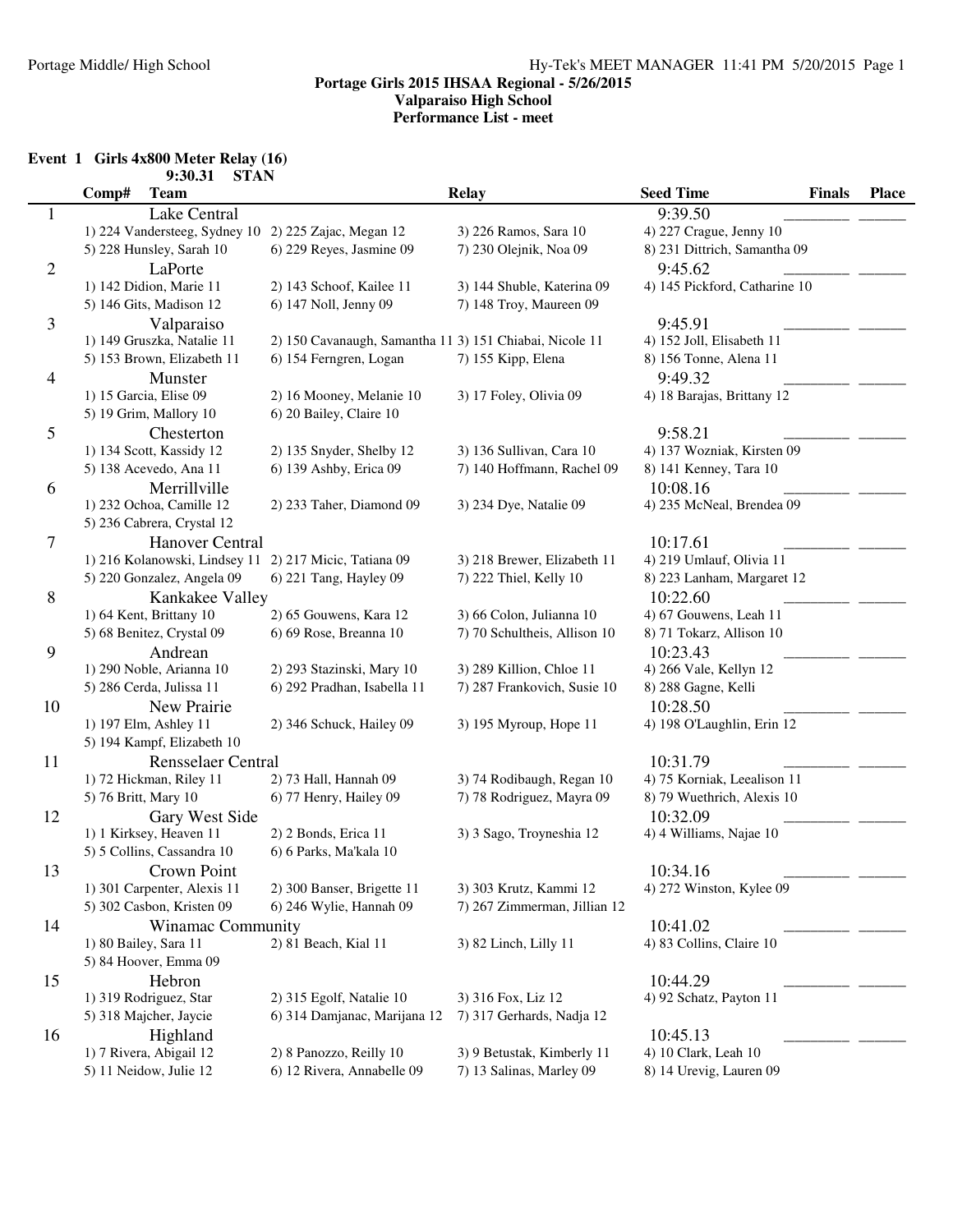# **Event 1 Girls 4x800 Meter Relay (16)**

|                | 9:30.31<br><b>STAN</b>        |                                                         |                              |                                      |              |
|----------------|-------------------------------|---------------------------------------------------------|------------------------------|--------------------------------------|--------------|
|                | Comp#<br><b>Team</b>          |                                                         | <b>Relay</b>                 | <b>Seed Time</b><br><b>Finals</b>    | <b>Place</b> |
| $\mathbf{1}$   | Lake Central                  |                                                         |                              | 9:39.50                              |              |
|                | 1) 224 Vandersteeg, Sydney 10 | 2) 225 Zajac, Megan 12                                  | 3) 226 Ramos, Sara 10        | 4) 227 Crague, Jenny 10              |              |
|                | 5) 228 Hunsley, Sarah 10      | 6) 229 Reyes, Jasmine 09                                | 7) 230 Olejnik, Noa 09       | 8) 231 Dittrich, Samantha 09         |              |
| $\mathfrak{2}$ | LaPorte                       |                                                         |                              | 9:45.62                              |              |
|                | 1) 142 Didion, Marie 11       | 2) 143 Schoof, Kailee 11                                | 3) 144 Shuble, Katerina 09   | 4) 145 Pickford, Catharine 10        |              |
|                | 5) 146 Gits, Madison 12       | 6) 147 Noll, Jenny 09                                   | 7) 148 Troy, Maureen 09      |                                      |              |
| 3              | Valparaiso                    |                                                         |                              | 9:45.91                              |              |
|                | 1) 149 Gruszka, Natalie 11    | 2) 150 Cavanaugh, Samantha 11 3) 151 Chiabai, Nicole 11 |                              | 4) 152 Joll, Elisabeth 11            |              |
|                | 5) 153 Brown, Elizabeth 11    | 6) 154 Ferngren, Logan                                  | 7) 155 Kipp, Elena           | 8) 156 Tonne, Alena 11               |              |
|                | Munster                       |                                                         |                              | 9:49.32                              |              |
| 4              | 1) 15 Garcia, Elise 09        | 2) 16 Mooney, Melanie 10                                | 3) 17 Foley, Olivia 09       | 4) 18 Barajas, Brittany 12           |              |
|                | 5) 19 Grim, Mallory 10        | 6) 20 Bailey, Claire 10                                 |                              |                                      |              |
|                |                               |                                                         |                              |                                      |              |
| 5              | Chesterton                    |                                                         |                              | 9:58.21                              |              |
|                | 1) 134 Scott, Kassidy 12      | 2) 135 Snyder, Shelby 12                                | 3) 136 Sullivan, Cara 10     | 4) 137 Wozniak, Kirsten 09           |              |
|                | 5) 138 Acevedo, Ana 11        | 6) 139 Ashby, Erica 09                                  | 7) 140 Hoffmann, Rachel 09   | 8) 141 Kenney, Tara 10               |              |
| 6              | Merrillville                  |                                                         |                              | 10:08.16                             |              |
|                | 1) 232 Ochoa, Camille 12      | 2) 233 Taher, Diamond 09                                | 3) 234 Dye, Natalie 09       | 4) 235 McNeal, Brendea 09            |              |
|                | 5) 236 Cabrera, Crystal 12    |                                                         |                              |                                      |              |
| 7              | <b>Hanover Central</b>        |                                                         |                              | 10:17.61                             |              |
|                | 1) 216 Kolanowski, Lindsey 11 | 2) 217 Micic, Tatiana 09                                | 3) 218 Brewer, Elizabeth 11  | 4) 219 Umlauf, Olivia 11             |              |
|                | 5) 220 Gonzalez, Angela 09    | 6) 221 Tang, Hayley 09                                  | 7) 222 Thiel, Kelly 10       | 8) 223 Lanham, Margaret 12           |              |
| $8\,$          | Kankakee Valley               |                                                         |                              | 10:22.60                             |              |
|                | 1) 64 Kent, Brittany 10       | 2) 65 Gouwens, Kara 12                                  | 3) 66 Colon, Julianna 10     | 4) 67 Gouwens, Leah 11               |              |
|                | 5) 68 Benitez, Crystal 09     | 6) 69 Rose, Breanna 10                                  | 7) 70 Schultheis, Allison 10 | 8) 71 Tokarz, Allison 10             |              |
| 9              | Andrean                       |                                                         |                              | 10:23.43                             |              |
|                | 1) 290 Noble, Arianna 10      | 2) 293 Stazinski, Mary 10                               | 3) 289 Killion, Chloe 11     | 4) 266 Vale, Kellyn 12               |              |
|                | 5) 286 Cerda, Julissa 11      | 6) 292 Pradhan, Isabella 11                             | 7) 287 Frankovich, Susie 10  | 8) 288 Gagne, Kelli                  |              |
| 10             | New Prairie                   |                                                         |                              | 10:28.50                             |              |
|                | 1) 197 Elm, Ashley 11         | 2) 346 Schuck, Hailey 09                                | 3) 195 Myroup, Hope 11       | 4) 198 O'Laughlin, Erin 12           |              |
|                | 5) 194 Kampf, Elizabeth 10    |                                                         |                              |                                      |              |
| 11             | <b>Rensselaer Central</b>     |                                                         |                              | 10:31.79                             |              |
|                | 1) 72 Hickman, Riley 11       | 2) 73 Hall, Hannah 09                                   | 3) 74 Rodibaugh, Regan 10    | 4) 75 Korniak, Leealison 11          |              |
|                | 5) 76 Britt, Mary 10          | 6) 77 Henry, Hailey 09                                  | 7) 78 Rodriguez, Mayra 09    | 8) 79 Wuethrich, Alexis 10           |              |
| 12             | Gary West Side                |                                                         |                              | 10:32.09                             |              |
|                | 1) 1 Kirksey, Heaven 11       | 2) 2 Bonds, Erica 11                                    | 3) 3 Sago, Troyneshia 12     | 4) 4 Williams, Najae 10              |              |
|                | 5) 5 Collins, Cassandra 10    | 6) 6 Parks, Ma'kala 10                                  |                              |                                      |              |
|                | <b>Crown Point</b>            |                                                         |                              |                                      |              |
| 13             | 1) 301 Carpenter, Alexis 11   | 2) 300 Banser, Brigette 11                              | 3) 303 Krutz, Kammi 12       | 10:34.16<br>4) 272 Winston, Kylee 09 |              |
|                |                               |                                                         |                              |                                      |              |
|                | 5) 302 Casbon, Kristen 09     | 6) 246 Wylie, Hannah 09                                 | 7) 267 Zimmerman, Jillian 12 |                                      |              |
| 14             | <b>Winamac Community</b>      |                                                         |                              | 10:41.02                             |              |
|                | 1) 80 Bailey, Sara 11         | 2) 81 Beach, Kial 11                                    | 3) 82 Linch, Lilly 11        | 4) 83 Collins, Claire 10             |              |
|                | 5) 84 Hoover, Emma 09         |                                                         |                              |                                      |              |
| 15             | Hebron                        |                                                         |                              | 10:44.29                             |              |
|                | 1) 319 Rodriguez, Star        | 2) 315 Egolf, Natalie 10                                | 3) 316 Fox, Liz 12           | 4) 92 Schatz, Payton 11              |              |
|                | 5) 318 Majcher, Jaycie        | 6) 314 Damjanac, Marijana 12                            | 7) 317 Gerhards, Nadja 12    |                                      |              |
| 16             | Highland                      |                                                         |                              | 10:45.13                             |              |
|                | 1) 7 Rivera, Abigail 12       | 2) 8 Panozzo, Reilly 10                                 | 3) 9 Betustak, Kimberly 11   | 4) 10 Clark, Leah 10                 |              |
|                | 5) 11 Neidow, Julie 12        | 6) 12 Rivera, Annabelle 09                              | 7) 13 Salinas, Marley 09     | 8) 14 Urevig, Lauren 09              |              |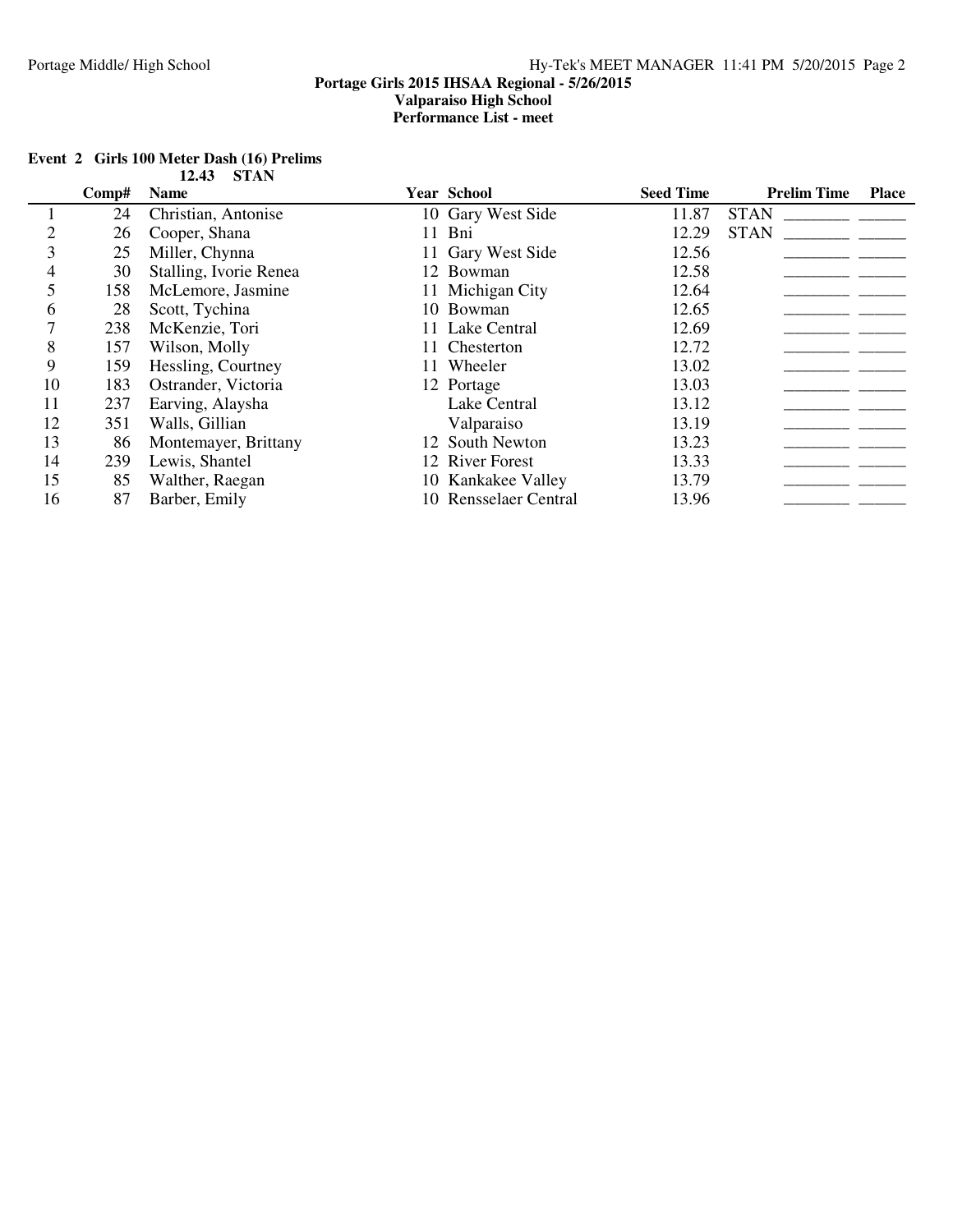|    |       | UILLI                  |    |                       |                  |                    |              |
|----|-------|------------------------|----|-----------------------|------------------|--------------------|--------------|
|    | Comp# | <b>Name</b>            |    | <b>Year School</b>    | <b>Seed Time</b> | <b>Prelim Time</b> | <b>Place</b> |
|    | 24    | Christian, Antonise    |    | 10 Gary West Side     | 11.87            | <b>STAN</b>        |              |
|    | 26    | Cooper, Shana          | 11 | Bni                   | 12.29            | <b>STAN</b>        |              |
|    | 25    | Miller, Chynna         |    | 11 Gary West Side     | 12.56            |                    |              |
| 4  | 30    | Stalling, Ivorie Renea |    | 12 Bowman             | 12.58            |                    |              |
|    | 158   | McLemore, Jasmine      |    | 11 Michigan City      | 12.64            |                    |              |
| 6  | 28    | Scott, Tychina         |    | 10 Bowman             | 12.65            |                    |              |
|    | 238   | McKenzie, Tori         |    | 11 Lake Central       | 12.69            |                    |              |
| 8  | 157   | Wilson, Molly          |    | 11 Chesterton         | 12.72            |                    |              |
| 9  | 159   | Hessling, Courtney     |    | 11 Wheeler            | 13.02            |                    |              |
| 10 | 183   | Ostrander, Victoria    |    | 12 Portage            | 13.03            |                    |              |
| 11 | 237   | Earving, Alaysha       |    | Lake Central          | 13.12            |                    |              |
| 12 | 351   | Walls, Gillian         |    | Valparaiso            | 13.19            |                    |              |
| 13 | 86    | Montemayer, Brittany   |    | 12 South Newton       | 13.23            |                    |              |
| 14 | 239   | Lewis, Shantel         |    | 12 River Forest       | 13.33            |                    |              |
| 15 | 85    | Walther, Raegan        |    | 10 Kankakee Valley    | 13.79            |                    |              |
| 16 | 87    | Barber, Emily          |    | 10 Rensselaer Central | 13.96            |                    |              |

### **Event 2 Girls 100 Meter Dash (16) Prelims 12.43 STAN**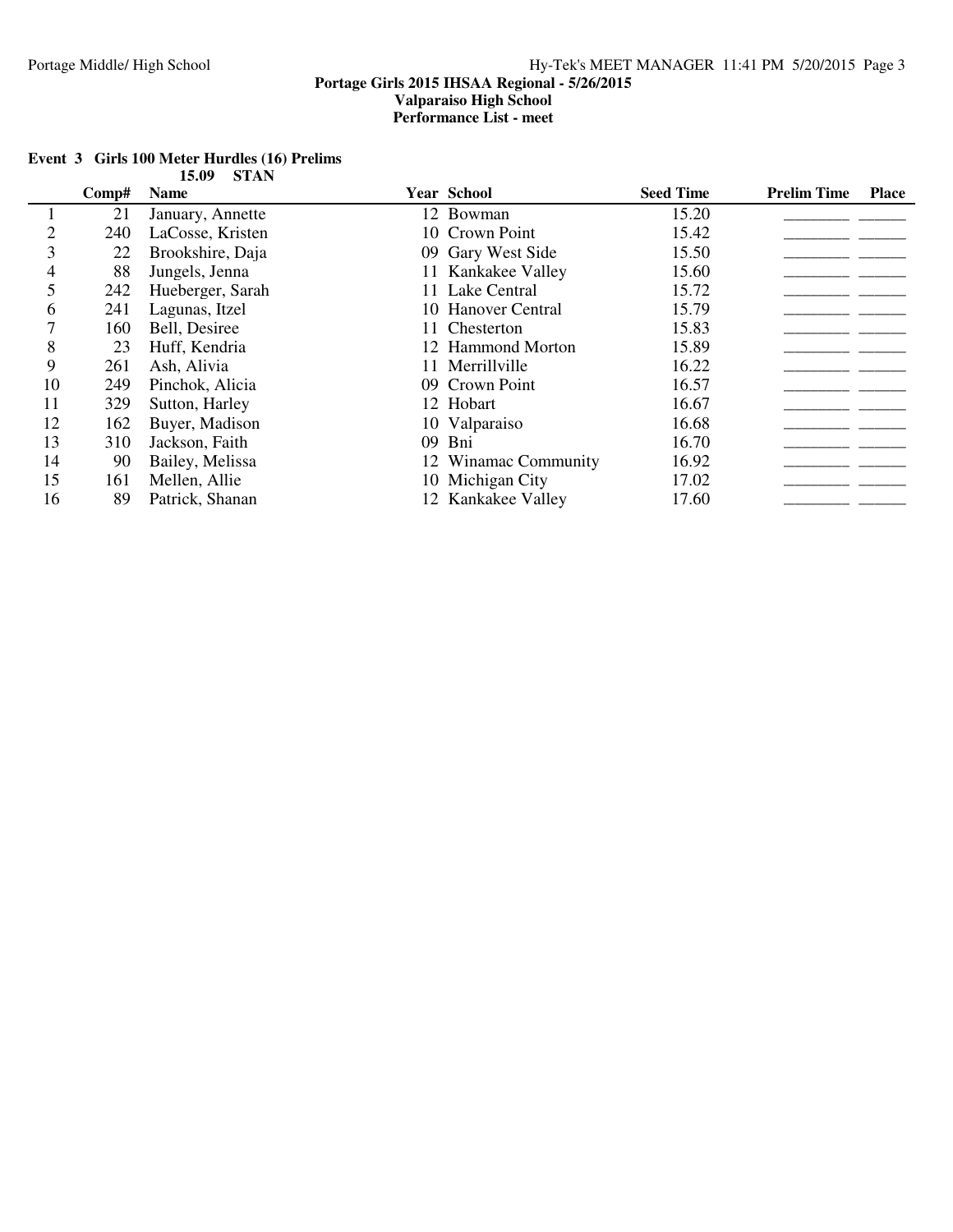|    |       | 13.VZ<br>DIAN    |                      |                  |                    |              |
|----|-------|------------------|----------------------|------------------|--------------------|--------------|
|    | Comp# | <b>Name</b>      | <b>Year School</b>   | <b>Seed Time</b> | <b>Prelim Time</b> | <b>Place</b> |
|    | 21    | January, Annette | 12 Bowman            | 15.20            |                    |              |
| 2  | 240   | LaCosse, Kristen | 10 Crown Point       | 15.42            |                    |              |
| 3  | 22    | Brookshire, Daja | 09 Gary West Side    | 15.50            |                    |              |
| 4  | 88    | Jungels, Jenna   | 11 Kankakee Valley   | 15.60            |                    |              |
|    | 242   | Hueberger, Sarah | 11 Lake Central      | 15.72            |                    |              |
| 6  | 241   | Lagunas, Itzel   | 10 Hanover Central   | 15.79            |                    |              |
|    | 160   | Bell, Desiree    | 11 Chesterton        | 15.83            |                    |              |
| 8  | 23    | Huff, Kendria    | 12 Hammond Morton    | 15.89            |                    |              |
| 9  | 261   | Ash, Alivia      | 11 Merrillville      | 16.22            |                    |              |
| 10 | 249   | Pinchok, Alicia  | 09 Crown Point       | 16.57            |                    |              |
| 11 | 329   | Sutton, Harley   | 12 Hobart            | 16.67            |                    |              |
| 12 | 162   | Buyer, Madison   | 10 Valparaiso        | 16.68            |                    |              |
| 13 | 310   | Jackson, Faith   | 09 Bni               | 16.70            |                    |              |
| 14 | 90    | Bailey, Melissa  | 12 Winamac Community | 16.92            |                    |              |
| 15 | 161   | Mellen, Allie    | 10 Michigan City     | 17.02            |                    |              |
| 16 | 89    | Patrick, Shanan  | 12 Kankakee Valley   | 17.60            |                    |              |

#### **Event 3 Girls 100 Meter Hurdles (16) Prelims 15.09 STAN**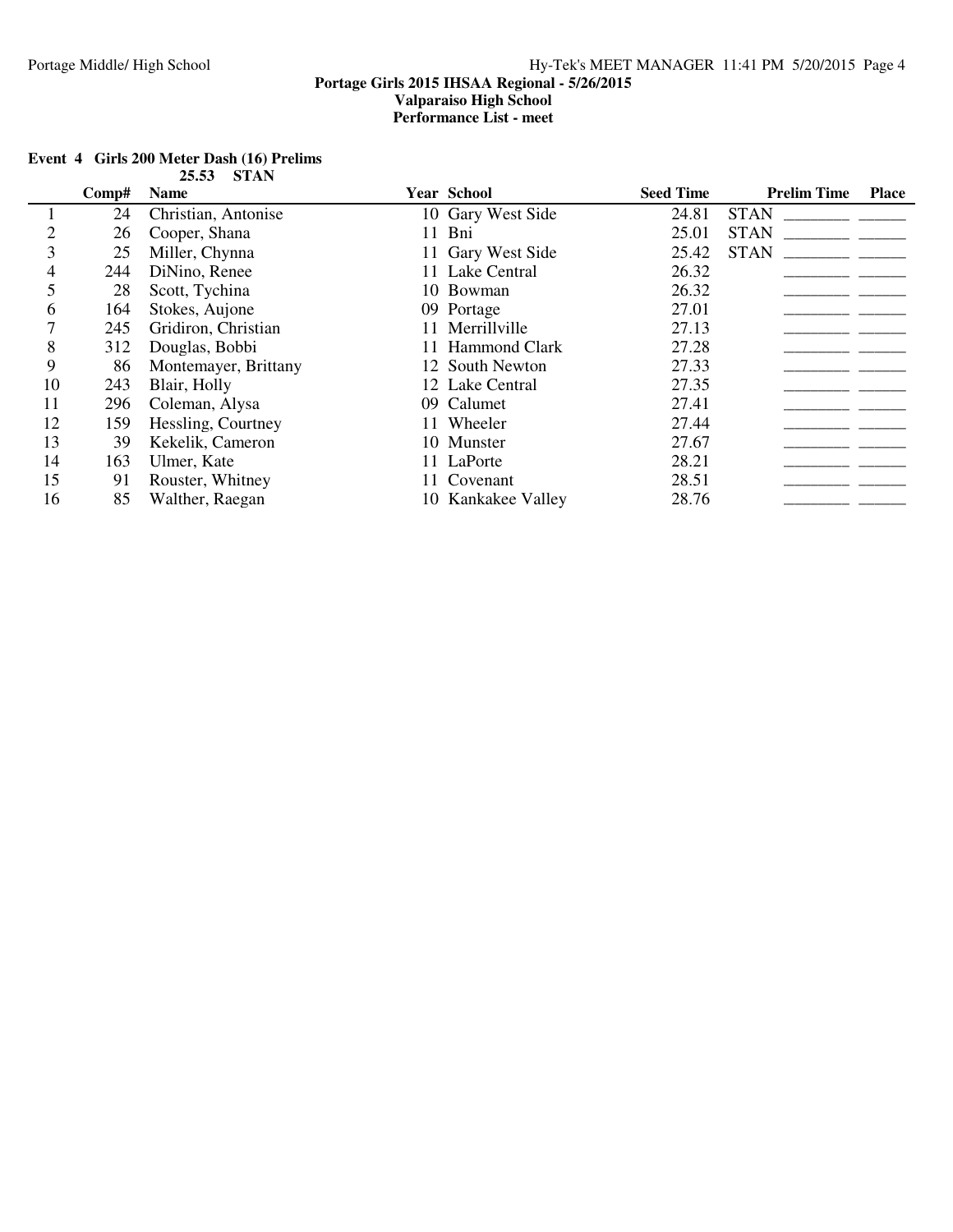## **Comp# Name Year School Seed Time Prelim Time Place** 1 24 Christian, Antonise 10 Gary West Side 24\_\_\_\_\_\_\_\_\_\_\_\_\_\_\_\_\_\_\_\_\_ .81 STAN \_\_\_\_\_\_\_ 2 26 Cooper, Shana 11 Bni 25.01 STAN 25.01 Cooper, Shana 11 Bni 25.01 STAN 25.01 Cooper, Shana 25.42 STAN 2 25 Miller, Chynna 11 Gary West Side 25.42 STAN \_\_\_\_\_\_\_\_\_\_\_\_\_\_\_\_\_\_\_\_\_\_\_\_\_\_\_\_\_\_\_\_\_ 4 244 DiNino, Renee 11 Lake Central 26\_\_\_\_\_\_\_\_\_\_\_\_\_\_\_\_\_\_\_\_\_ .32 \_\_\_\_\_\_\_ 5 28 Scott, Tychina 10 Bowman 26.32 26.32 27.01 28 Scott, Tychina 20.32 27.01 6 164 Stokes, Aujone 09 Portage 27.01 164 Stokes, Aujone 09 Portage 27.01 245 Gridiron, Christian 11 Merrillville 7 245 Gridiron, Christian<br>8 312 Douglas, Bobbi 8 312 Douglas, Bobbi 11 Hammond Clark 27\_\_\_\_\_\_\_\_\_\_\_\_\_\_\_\_\_\_\_\_\_ .28 \_\_\_\_\_\_\_ 9 86 Montemayer, Brittany 12 South Newton 27\_\_\_\_\_\_\_\_\_\_\_\_\_\_\_\_\_\_\_\_\_ .33 \_\_\_\_\_\_\_ 10 243 Blair, Holly 12 Lake Central 27\_\_\_\_\_\_\_\_\_\_\_\_\_\_\_\_\_\_\_\_\_ .35 \_\_\_\_\_\_\_ 11 296 Coleman, Alysa 09 Calumet 27\_\_\_\_\_\_\_\_\_\_\_\_\_\_\_\_\_\_\_\_\_ .41 \_\_\_\_\_\_\_ 12 159 Hessling, Courtney 11 Wheeler 27.44<br>13 39 Kekelik, Cameron 10 Munster 27.67 13 39 Kekelik, Cameron 10 Munster 27\_\_\_\_\_\_\_\_\_\_\_\_\_\_\_\_\_\_\_\_\_ .67 \_\_\_\_\_\_\_ 14 163 Ulmer, Kate 11 LaPorte 28.21 15 91 Rouster, Whitney 11 Covenant 28.51 1 15 91 Rouster, Whitney 11 Covenant 28\_\_\_\_\_\_\_\_\_\_\_\_\_\_\_\_\_\_\_\_\_ .51 \_\_\_\_\_\_\_ 16 85 Walther, Raegan 10 Kankakee Valley 28.76 28.76 28.76 28.76 2012

#### **Event 4 Girls 200 Meter Dash (16) Prelims 25.53 STAN**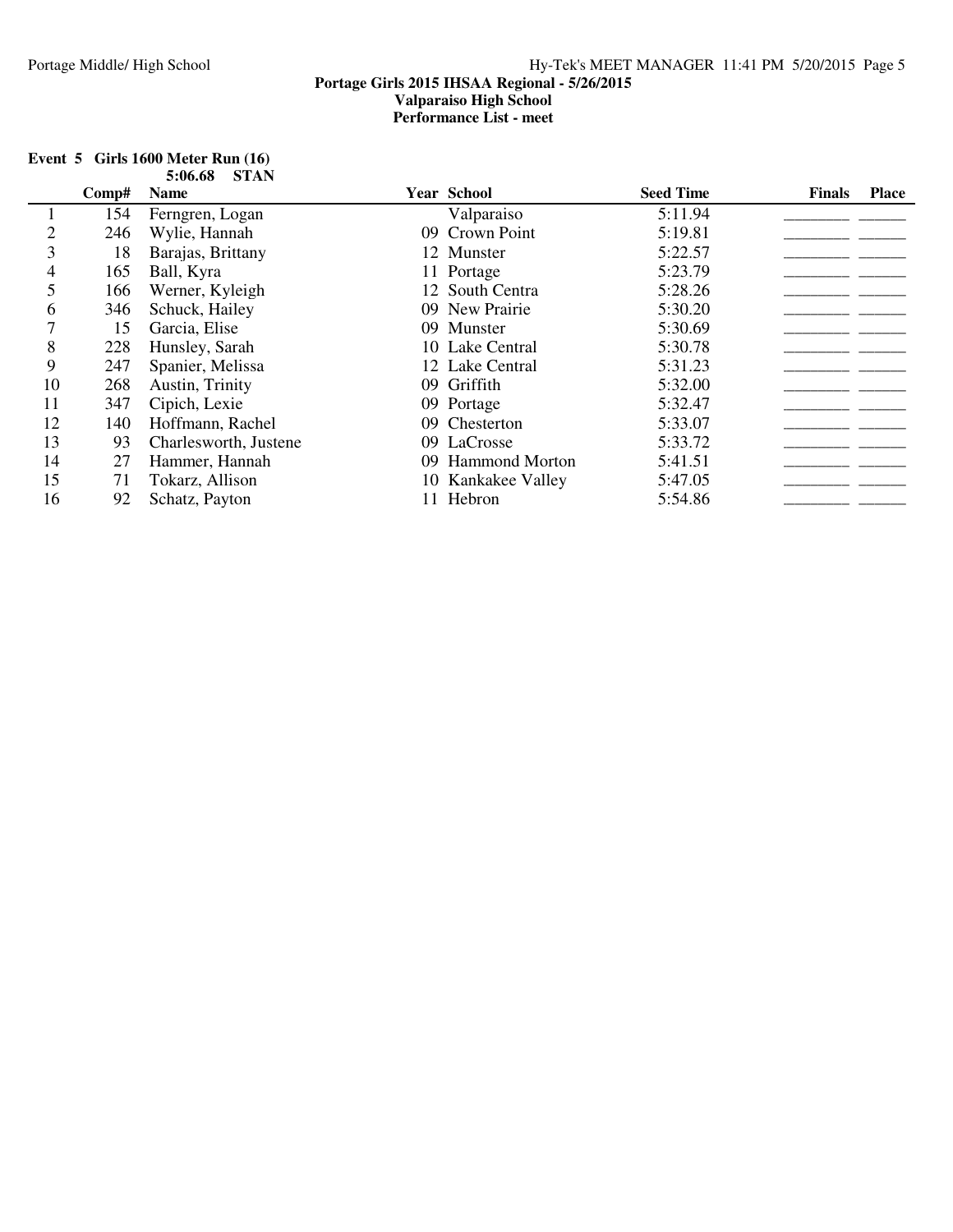| Event $5$ Girls 1600 Meter Run $(16)$ |              |
|---------------------------------------|--------------|
|                                       | 5:06.68 STAN |

|    | Comp# | <b>Name</b>           | <b>Year School</b> | <b>Seed Time</b> | <b>Finals</b> | <b>Place</b> |
|----|-------|-----------------------|--------------------|------------------|---------------|--------------|
|    | 154   | Ferngren, Logan       | Valparaiso         | 5:11.94          |               |              |
|    | 246   | Wylie, Hannah         | 09 Crown Point     | 5:19.81          |               |              |
| 3  | 18    | Barajas, Brittany     | 12 Munster         | 5:22.57          |               |              |
| 4  | 165   | Ball, Kyra            | 11 Portage         | 5:23.79          |               |              |
| 5  | 166   | Werner, Kyleigh       | 12 South Centra    | 5:28.26          |               |              |
| 6  | 346   | Schuck, Hailey        | 09 New Prairie     | 5:30.20          |               |              |
|    | 15    | Garcia, Elise         | 09 Munster         | 5:30.69          |               |              |
| 8  | 228   | Hunsley, Sarah        | 10 Lake Central    | 5:30.78          |               |              |
| 9  | 247   | Spanier, Melissa      | 12 Lake Central    | 5:31.23          |               |              |
| 10 | 268   | Austin, Trinity       | 09 Griffith        | 5:32.00          |               |              |
| 11 | 347   | Cipich, Lexie         | 09 Portage         | 5:32.47          |               |              |
| 12 | 140   | Hoffmann, Rachel      | 09 Chesterton      | 5:33.07          |               |              |
| 13 | 93    | Charlesworth, Justene | 09 LaCrosse        | 5:33.72          |               |              |
| 14 | 27    | Hammer, Hannah        | 09 Hammond Morton  | 5:41.51          |               |              |
| 15 | 71    | Tokarz, Allison       | 10 Kankakee Valley | 5:47.05          |               |              |
| 16 | 92    | Schatz, Payton        | 11 Hebron          | 5:54.86          |               |              |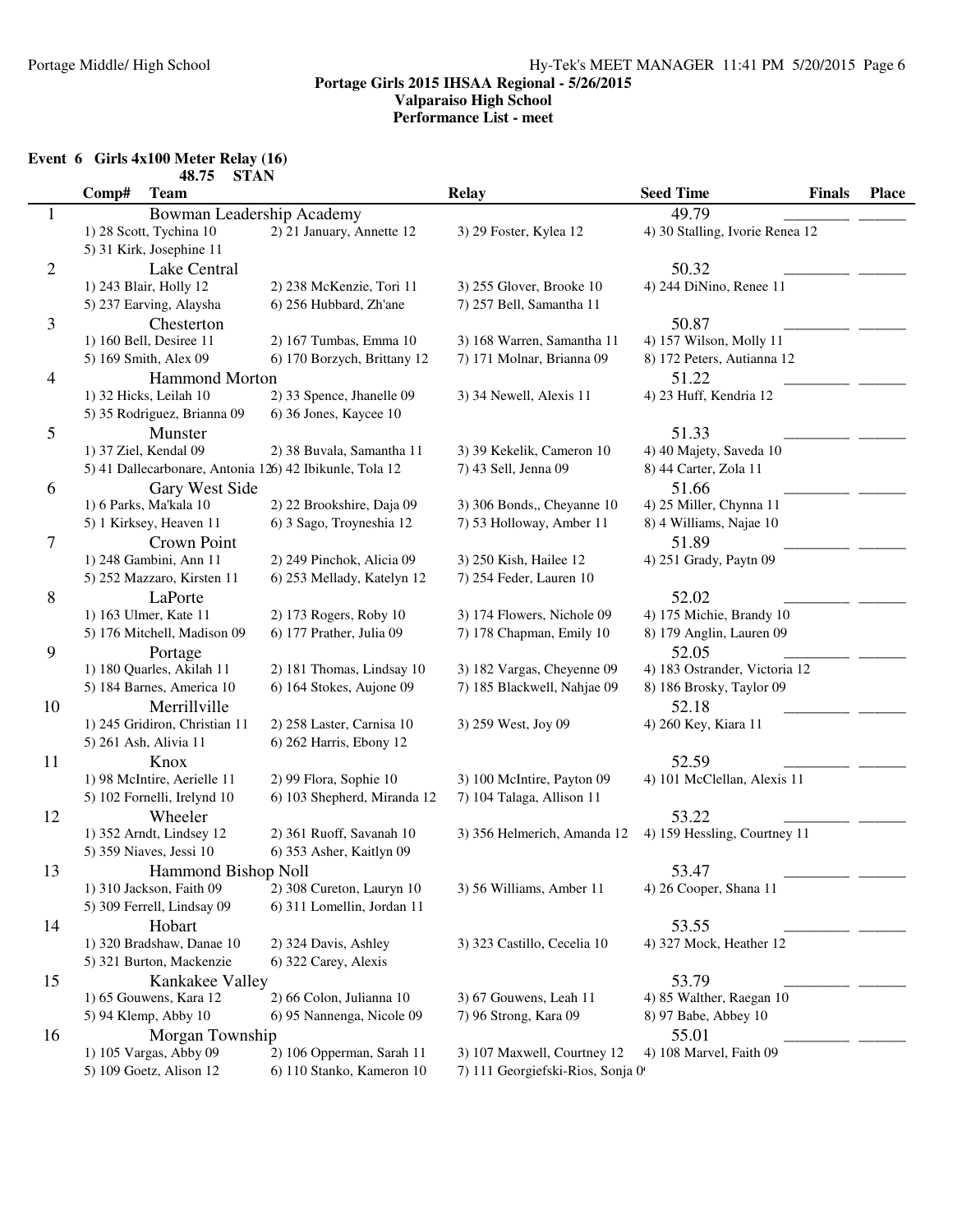**Event 6 Girls 4x100 Meter Relay (16)**

|                | <b>STAN</b><br>48.75                                    |                             |                                  |                                   |              |
|----------------|---------------------------------------------------------|-----------------------------|----------------------------------|-----------------------------------|--------------|
|                | Comp#<br><b>Team</b>                                    |                             | <b>Relay</b>                     | <b>Seed Time</b><br><b>Finals</b> | <b>Place</b> |
| $\mathbf{1}$   | Bowman Leadership Academy                               |                             |                                  | 49.79                             |              |
|                | 1) 28 Scott, Tychina 10                                 | 2) 21 January, Annette 12   | 3) 29 Foster, Kylea 12           | 4) 30 Stalling, Ivorie Renea 12   |              |
|                | 5) 31 Kirk, Josephine 11                                |                             |                                  |                                   |              |
| $\overline{c}$ | Lake Central                                            |                             |                                  | 50.32                             |              |
|                | 1) 243 Blair, Holly 12                                  | 2) 238 McKenzie, Tori 11    | 3) 255 Glover, Brooke 10         | 4) 244 DiNino, Renee 11           |              |
|                | 5) 237 Earving, Alaysha                                 | 6) 256 Hubbard, Zh'ane      | 7) 257 Bell, Samantha 11         |                                   |              |
| 3              | Chesterton                                              |                             |                                  | 50.87                             |              |
|                | 1) 160 Bell, Desiree 11                                 | 2) 167 Tumbas, Emma 10      | 3) 168 Warren, Samantha 11       | 4) 157 Wilson, Molly 11           |              |
|                | 5) 169 Smith, Alex 09                                   | 6) 170 Borzych, Brittany 12 | 7) 171 Molnar, Brianna 09        | 8) 172 Peters, Autianna 12        |              |
| 4              | <b>Hammond Morton</b>                                   |                             |                                  | 51.22                             |              |
|                | 1) 32 Hicks, Leilah 10                                  | 2) 33 Spence, Jhanelle 09   | 3) 34 Newell, Alexis 11          | 4) 23 Huff, Kendria 12            |              |
|                | 5) 35 Rodriguez, Brianna 09                             | 6) 36 Jones, Kaycee 10      |                                  |                                   |              |
| 5              | Munster                                                 |                             |                                  | 51.33                             |              |
|                | 1) 37 Ziel, Kendal 09                                   | 2) 38 Buvala, Samantha 11   | 3) 39 Kekelik, Cameron 10        | 4) 40 Majety, Saveda 10           |              |
|                | 5) 41 Dallecarbonare, Antonia 126) 42 Ibikunle, Tola 12 |                             | 7) 43 Sell, Jenna 09             | 8) 44 Carter, Zola 11             |              |
| 6              | Gary West Side                                          |                             |                                  | 51.66                             |              |
|                | 1) 6 Parks, Ma'kala 10                                  | 2) 22 Brookshire, Daja 09   | 3) 306 Bonds,, Cheyanne 10       | 4) 25 Miller, Chynna 11           |              |
|                | 5) 1 Kirksey, Heaven 11                                 | 6) 3 Sago, Troyneshia 12    | 7) 53 Holloway, Amber 11         | 8) 4 Williams, Najae 10           |              |
| 7              | Crown Point                                             |                             |                                  | 51.89                             |              |
|                | 1) 248 Gambini, Ann 11                                  | 2) 249 Pinchok, Alicia 09   | 3) 250 Kish, Hailee 12           | 4) 251 Grady, Paytn 09            |              |
|                | 5) 252 Mazzaro, Kirsten 11                              | 6) 253 Mellady, Katelyn 12  | 7) 254 Feder, Lauren 10          |                                   |              |
| $8\,$          | LaPorte                                                 |                             |                                  | 52.02                             |              |
|                | 1) 163 Ulmer, Kate 11                                   | 2) 173 Rogers, Roby 10      | 3) 174 Flowers, Nichole 09       | 4) 175 Michie, Brandy 10          |              |
|                | 5) 176 Mitchell, Madison 09                             | 6) 177 Prather, Julia 09    | 7) 178 Chapman, Emily 10         | 8) 179 Anglin, Lauren 09          |              |
| 9              |                                                         |                             |                                  | 52.05                             |              |
|                | Portage<br>1) 180 Quarles, Akilah 11                    | 2) 181 Thomas, Lindsay 10   | 3) 182 Vargas, Cheyenne 09       | 4) 183 Ostrander, Victoria 12     |              |
|                | 5) 184 Barnes, America 10                               | 6) 164 Stokes, Aujone 09    | 7) 185 Blackwell, Nahjae 09      | 8) 186 Brosky, Taylor 09          |              |
|                |                                                         |                             |                                  |                                   |              |
| 10             | Merrillville<br>1) 245 Gridiron, Christian 11           | 2) 258 Laster, Carnisa 10   |                                  | 52.18                             |              |
|                | 5) 261 Ash, Alivia 11                                   | 6) 262 Harris, Ebony 12     | 3) 259 West, Joy 09              | 4) 260 Key, Kiara 11              |              |
|                |                                                         |                             |                                  |                                   |              |
| 11             | Knox                                                    |                             |                                  | 52.59                             |              |
|                | 1) 98 McIntire, Aerielle 11                             | 2) 99 Flora, Sophie 10      | 3) 100 McIntire, Payton 09       | 4) 101 McClellan, Alexis 11       |              |
|                | 5) 102 Fornelli, Irelynd 10                             | 6) 103 Shepherd, Miranda 12 | 7) 104 Talaga, Allison 11        |                                   |              |
| 12             | Wheeler                                                 |                             |                                  | 53.22                             |              |
|                | 1) 352 Arndt, Lindsey 12                                | 2) 361 Ruoff, Savanah 10    | 3) 356 Helmerich, Amanda 12      | 4) 159 Hessling, Courtney 11      |              |
|                | 5) 359 Niaves, Jessi 10                                 | 6) 353 Asher, Kaitlyn 09    |                                  |                                   |              |
| 13             | Hammond Bishop Noll                                     |                             |                                  | 53.47                             |              |
|                | 1) 310 Jackson, Faith 09                                | 2) 308 Cureton, Lauryn 10   | 3) 56 Williams, Amber 11         | 4) 26 Cooper, Shana 11            |              |
|                | 5) 309 Ferrell, Lindsay 09                              | 6) 311 Lomellin, Jordan 11  |                                  |                                   |              |
| 14             | Hobart                                                  |                             |                                  | 53.55                             |              |
|                | 1) 320 Bradshaw, Danae 10                               | 2) 324 Davis, Ashley        | 3) 323 Castillo, Cecelia 10      | 4) 327 Mock, Heather 12           |              |
|                | 5) 321 Burton, Mackenzie                                | 6) 322 Carey, Alexis        |                                  |                                   |              |
| 15             | Kankakee Valley                                         |                             |                                  | 53.79                             |              |
|                | 1) 65 Gouwens, Kara 12                                  | 2) 66 Colon, Julianna 10    | 3) 67 Gouwens, Leah 11           | 4) 85 Walther, Raegan 10          |              |
|                | 5) 94 Klemp, Abby 10                                    | 6) 95 Nannenga, Nicole 09   | 7) 96 Strong, Kara 09            | 8) 97 Babe, Abbey 10              |              |
| 16             | Morgan Township                                         |                             |                                  | 55.01                             |              |
|                | 1) 105 Vargas, Abby 09                                  | 2) 106 Opperman, Sarah 11   | 3) 107 Maxwell, Courtney 12      | 4) 108 Marvel, Faith 09           |              |
|                | 5) 109 Goetz, Alison 12                                 | 6) 110 Stanko, Kameron 10   | 7) 111 Georgiefski-Rios, Sonja 0 |                                   |              |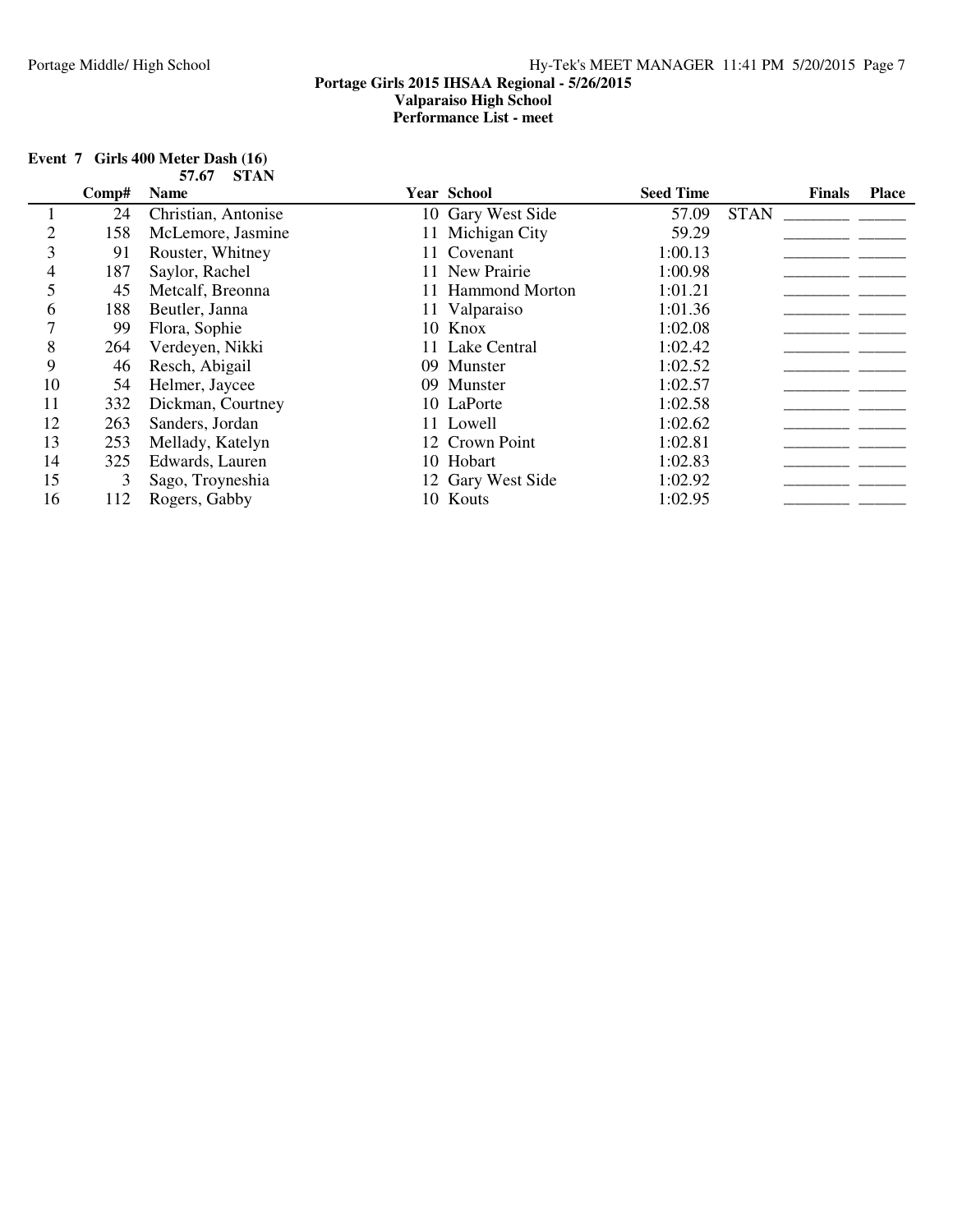| Event 7 Girls 400 Meter Dash (16) |
|-----------------------------------|
| 57.67 STAN                        |

|    | Comp# | <b>Name</b>         | Year School       | <b>Seed Time</b> |             | <b>Finals</b> | <b>Place</b> |
|----|-------|---------------------|-------------------|------------------|-------------|---------------|--------------|
|    | 24    | Christian, Antonise | 10 Gary West Side | 57.09            | <b>STAN</b> |               |              |
|    | 158   | McLemore, Jasmine   | 11 Michigan City  | 59.29            |             |               |              |
|    | 91    | Rouster, Whitney    | 11 Covenant       | 1:00.13          |             |               |              |
| 4  | 187   | Saylor, Rachel      | 11 New Prairie    | 1:00.98          |             |               |              |
|    | 45    | Metcalf, Breonna    | 11 Hammond Morton | 1:01.21          |             |               |              |
| 6  | 188   | Beutler, Janna      | 11 Valparaiso     | 1:01.36          |             |               |              |
|    | 99    | Flora, Sophie       | 10 Knox           | 1:02.08          |             |               |              |
| 8  | 264   | Verdeyen, Nikki     | 11 Lake Central   | 1:02.42          |             |               |              |
| 9  | 46    | Resch, Abigail      | 09 Munster        | 1:02.52          |             |               |              |
| 10 | 54    | Helmer, Jaycee      | 09 Munster        | 1:02.57          |             |               |              |
| 11 | 332   | Dickman, Courtney   | 10 LaPorte        | 1:02.58          |             |               |              |
| 12 | 263   | Sanders, Jordan     | 11 Lowell         | 1:02.62          |             |               |              |
| 13 | 253   | Mellady, Katelyn    | 12 Crown Point    | 1:02.81          |             |               |              |
| 14 | 325   | Edwards, Lauren     | 10 Hobart         | 1:02.83          |             |               |              |
| 15 | 3     | Sago, Troyneshia    | 12 Gary West Side | 1:02.92          |             |               |              |
| 16 | 112   | Rogers, Gabby       | 10 Kouts          | 1:02.95          |             |               |              |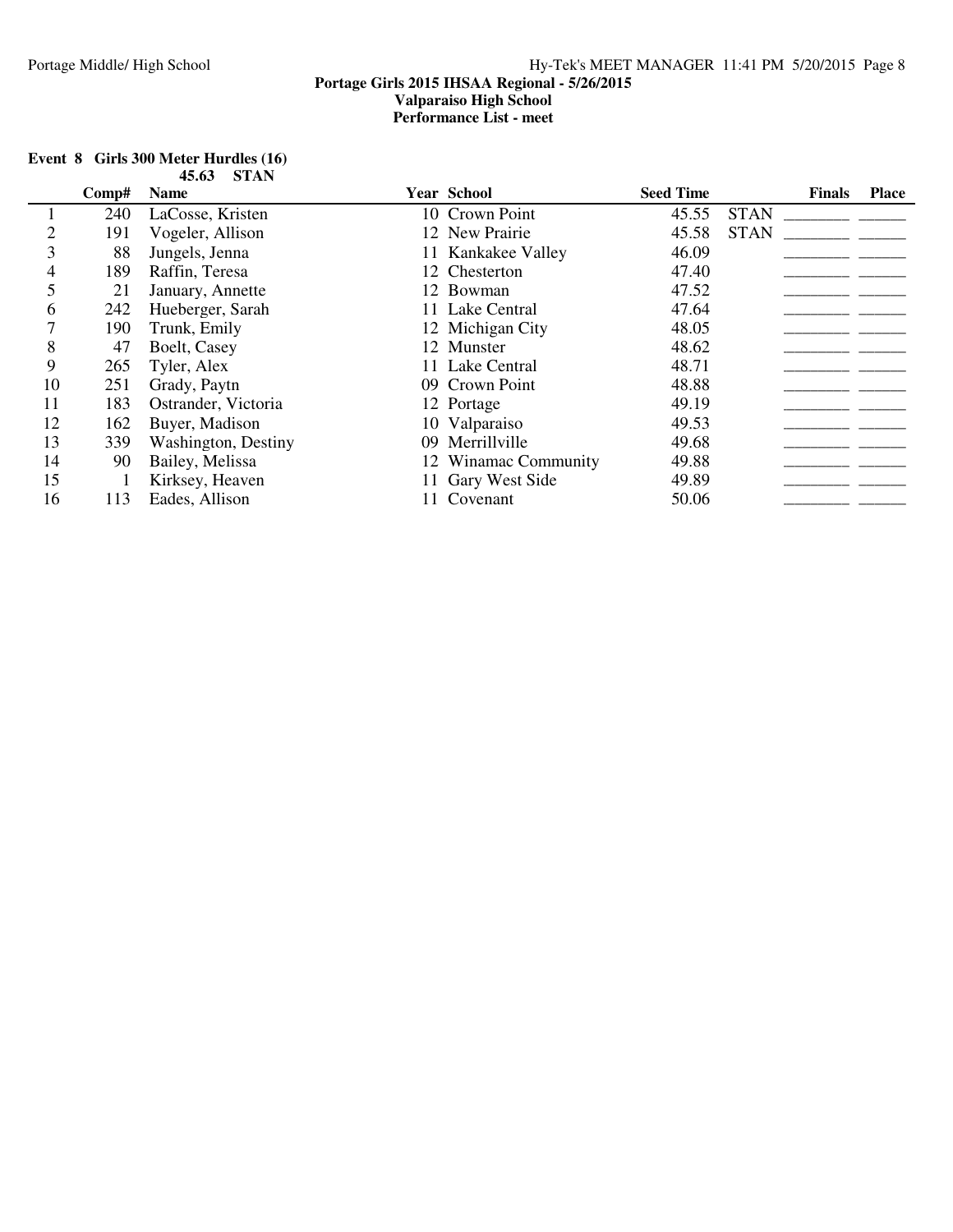|    |       | 70.VJ<br><b>DIAI</b> |                      |                  |               |              |
|----|-------|----------------------|----------------------|------------------|---------------|--------------|
|    | Comp# | <b>Name</b>          | Year School          | <b>Seed Time</b> | <b>Finals</b> | <b>Place</b> |
|    | 240   | LaCosse, Kristen     | 10 Crown Point       | 45.55            | <b>STAN</b>   |              |
|    | 191   | Vogeler, Allison     | 12 New Prairie       | 45.58            | <b>STAN</b>   |              |
| 3  | 88    | Jungels, Jenna       | 11 Kankakee Valley   | 46.09            |               |              |
| 4  | 189   | Raffin, Teresa       | 12 Chesterton        | 47.40            |               |              |
|    | 21    | January, Annette     | 12 Bowman            | 47.52            |               |              |
| 6  | 242   | Hueberger, Sarah     | 11 Lake Central      | 47.64            |               |              |
|    | 190   | Trunk, Emily         | 12 Michigan City     | 48.05            |               |              |
| 8  | 47    | Boelt, Casey         | 12 Munster           | 48.62            |               |              |
| 9  | 265   | Tyler, Alex          | 11 Lake Central      | 48.71            |               |              |
| 10 | 251   | Grady, Paytn         | 09 Crown Point       | 48.88            |               |              |
| 11 | 183   | Ostrander, Victoria  | 12 Portage           | 49.19            |               |              |
| 12 | 162   | Buyer, Madison       | 10 Valparaiso        | 49.53            |               |              |
| 13 | 339   | Washington, Destiny  | 09 Merrillville      | 49.68            |               |              |
| 14 | 90    | Bailey, Melissa      | 12 Winamac Community | 49.88            |               |              |
| 15 |       | Kirksey, Heaven      | 11 Gary West Side    | 49.89            |               |              |
| 16 | 113   | Eades, Allison       | 11 Covenant          | 50.06            |               |              |

#### **Event 8 Girls 300 Meter Hurdles (16) 45.63 STAN**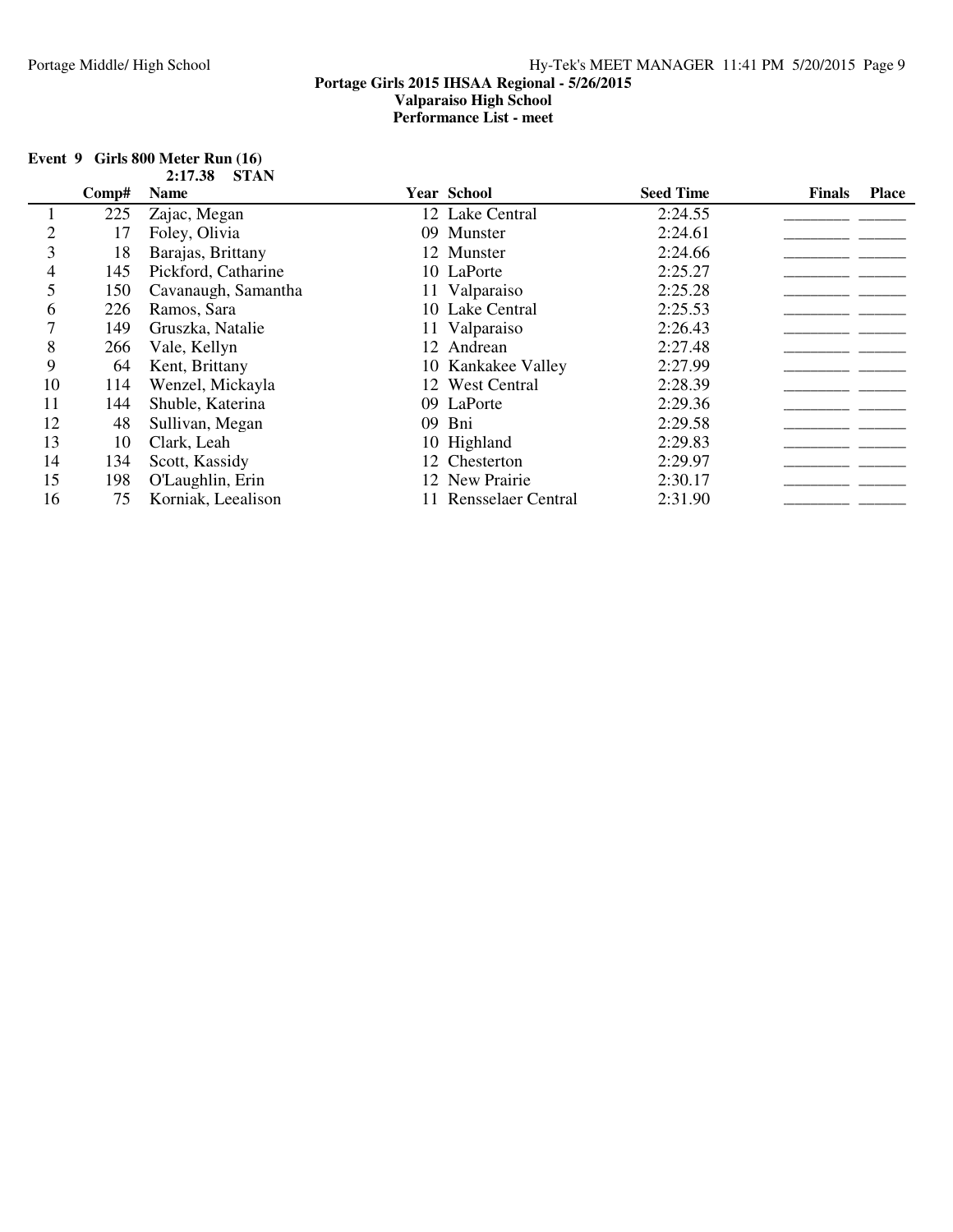| Event $9$ Girls 800 Meter Run $(16)$ |  |
|--------------------------------------|--|
| 2:17.38 STAN                         |  |

|    | Comp# | <b>Name</b>         | Year School           | <b>Seed Time</b> | <b>Finals</b> | <b>Place</b> |
|----|-------|---------------------|-----------------------|------------------|---------------|--------------|
|    | 225   | Zajac, Megan        | 12 Lake Central       | 2:24.55          |               |              |
|    | 17    | Foley, Olivia       | 09 Munster            | 2:24.61          |               |              |
| 3  | 18    | Barajas, Brittany   | 12 Munster            | 2:24.66          |               |              |
| 4  | 145   | Pickford, Catharine | 10 LaPorte            | 2:25.27          |               |              |
|    | 150   | Cavanaugh, Samantha | 11 Valparaiso         | 2:25.28          |               |              |
| 6  | 226   | Ramos, Sara         | 10 Lake Central       | 2:25.53          |               |              |
|    | 149   | Gruszka, Natalie    | 11 Valparaiso         | 2:26.43          |               |              |
| 8  | 266   | Vale, Kellyn        | 12 Andrean            | 2:27.48          |               |              |
| 9  | 64    | Kent, Brittany      | 10 Kankakee Valley    | 2:27.99          |               |              |
| 10 | 114   | Wenzel, Mickayla    | 12 West Central       | 2:28.39          |               |              |
| 11 | 144   | Shuble, Katerina    | 09 LaPorte            | 2:29.36          |               |              |
| 12 | 48    | Sullivan, Megan     | 09 Bni                | 2:29.58          |               |              |
| 13 | 10    | Clark, Leah         | 10 Highland           | 2:29.83          |               |              |
| 14 | 134   | Scott, Kassidy      | 12 Chesterton         | 2:29.97          |               |              |
| 15 | 198   | O'Laughlin, Erin    | 12 New Prairie        | 2:30.17          |               |              |
| 16 | 75    | Korniak, Leealison  | 11 Rensselaer Central | 2:31.90          |               |              |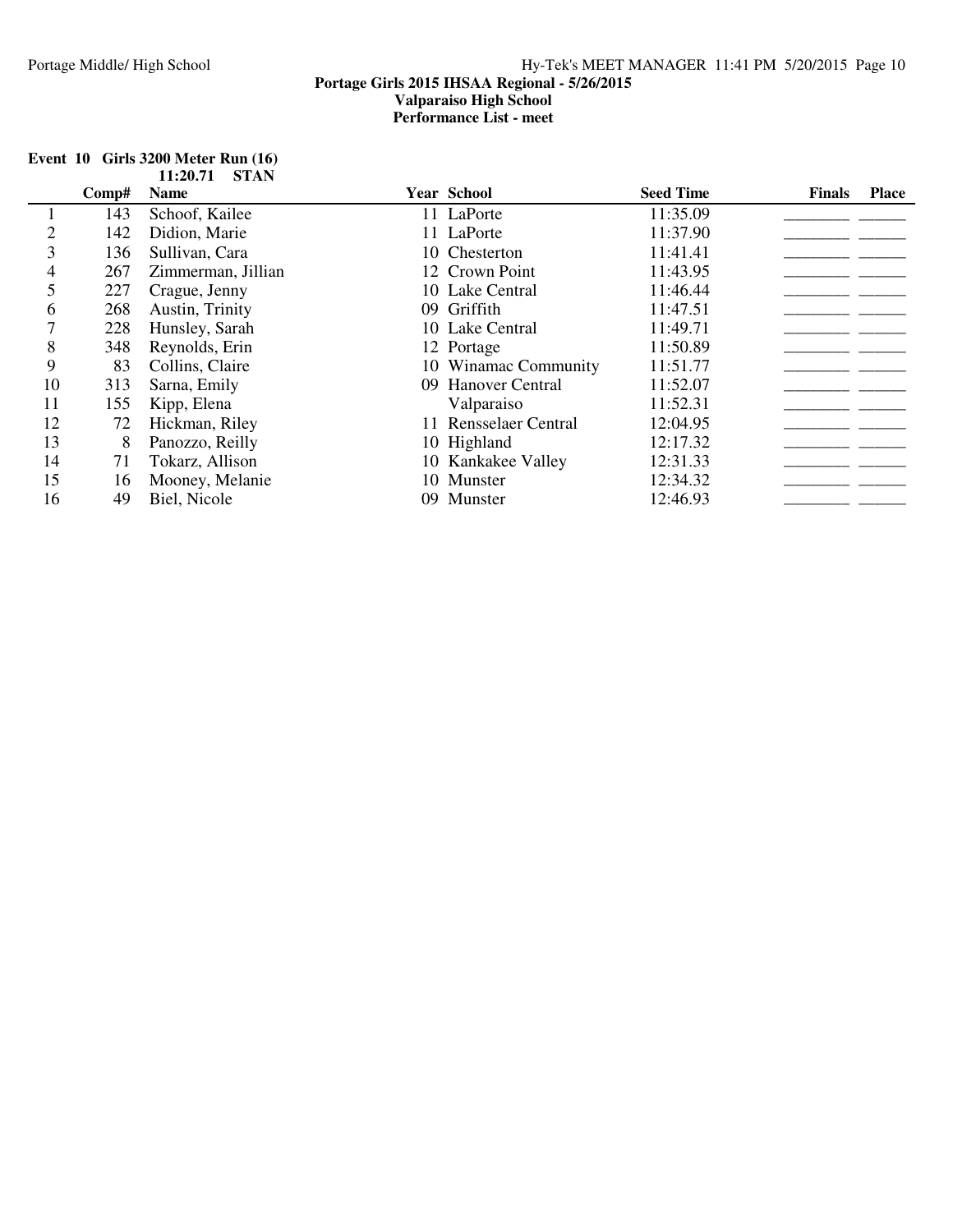|  |            | Event $10$ Girls 3200 Meter Run $(16)$<br>$11:20.71$ STAN |  |
|--|------------|-----------------------------------------------------------|--|
|  | Comp# Name |                                                           |  |
|  |            | 143 Schoof, Kailee                                        |  |

|    | Comp# | <b>Name</b>        | <b>Year School</b>    | <b>Seed Time</b> | <b>Finals</b> | <b>Place</b> |
|----|-------|--------------------|-----------------------|------------------|---------------|--------------|
|    | 143   | Schoof, Kailee     | 11 LaPorte            | 11:35.09         |               |              |
| 2  | 142   | Didion, Marie      | 11 LaPorte            | 11:37.90         |               |              |
| 3  | 136   | Sullivan, Cara     | 10 Chesterton         | 11:41.41         |               |              |
| 4  | 267   | Zimmerman, Jillian | 12 Crown Point        | 11:43.95         |               |              |
| 5  | 227   | Crague, Jenny      | 10 Lake Central       | 11:46.44         |               |              |
| 6  | 268   | Austin, Trinity    | 09 Griffith           | 11:47.51         |               |              |
|    | 228   | Hunsley, Sarah     | 10 Lake Central       | 11:49.71         |               |              |
| 8  | 348   | Reynolds, Erin     | 12 Portage            | 11:50.89         |               |              |
| 9  | 83    | Collins, Claire    | 10 Winamac Community  | 11:51.77         |               |              |
| 10 | 313   | Sarna, Emily       | 09 Hanover Central    | 11:52.07         |               |              |
| 11 | 155   | Kipp, Elena        | Valparaiso            | 11:52.31         |               |              |
| 12 | 72    | Hickman, Riley     | 11 Rensselaer Central | 12:04.95         |               |              |
| 13 | 8     | Panozzo, Reilly    | 10 Highland           | 12:17.32         |               |              |
| 14 | 71    | Tokarz, Allison    | 10 Kankakee Valley    | 12:31.33         |               |              |
| 15 | 16    | Mooney, Melanie    | 10 Munster            | 12:34.32         |               |              |
| 16 | 49    | Biel, Nicole       | 09 Munster            | 12:46.93         |               |              |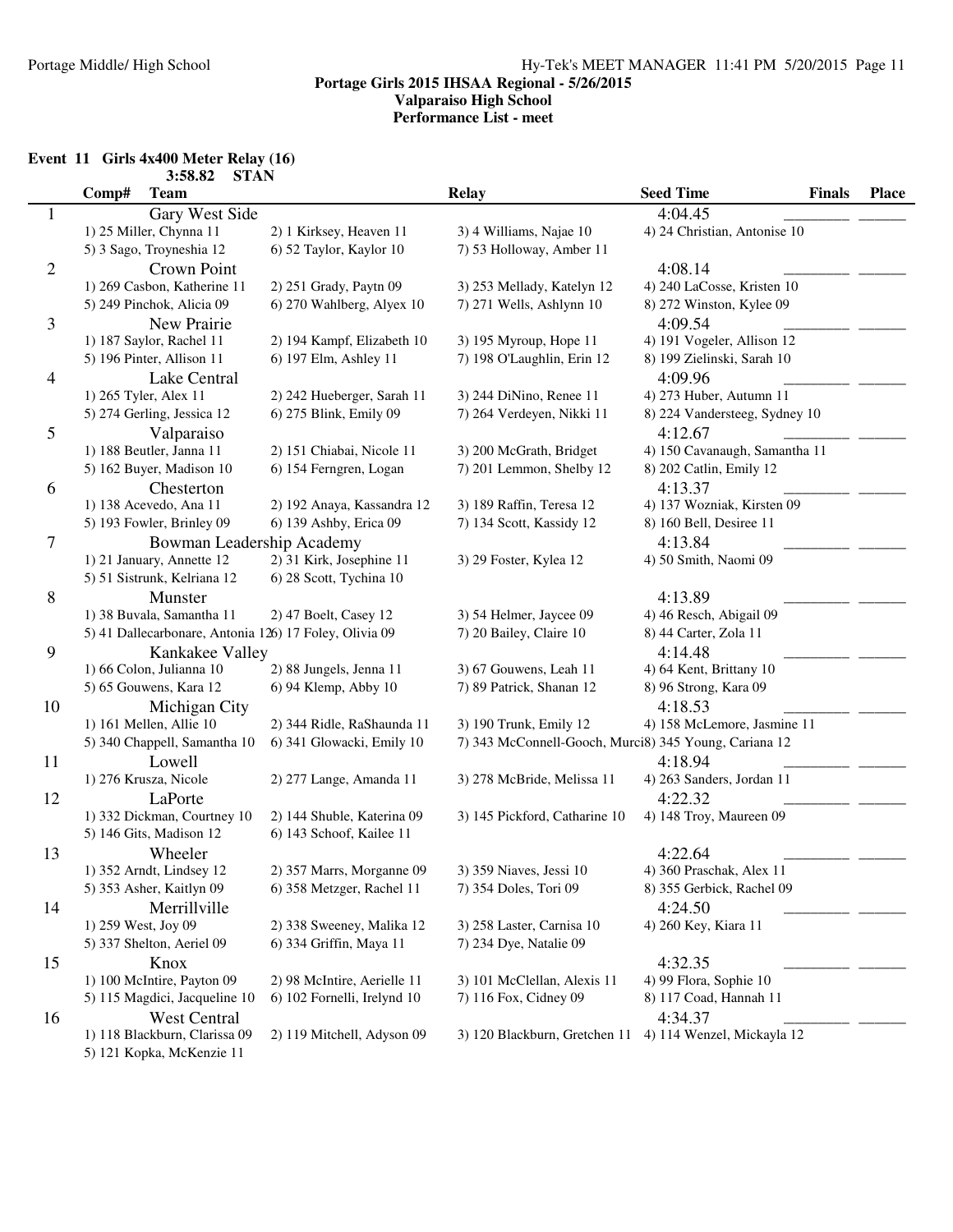## **Event 11 Girls 4x400 Meter Relay (16)**

|                | 3:58.82<br><b>STAN</b>                                 |                             |                                                       |                                   |              |
|----------------|--------------------------------------------------------|-----------------------------|-------------------------------------------------------|-----------------------------------|--------------|
|                | Comp#<br><b>Team</b>                                   |                             | <b>Relay</b>                                          | <b>Seed Time</b><br><b>Finals</b> | <b>Place</b> |
| 1              | Gary West Side                                         |                             |                                                       | 4:04.45                           |              |
|                | 1) 25 Miller, Chynna 11                                | 2) 1 Kirksey, Heaven 11     | 3) 4 Williams, Najae 10                               | 4) 24 Christian, Antonise 10      |              |
|                | 5) 3 Sago, Troyneshia 12                               | 6) 52 Taylor, Kaylor 10     | 7) 53 Holloway, Amber 11                              |                                   |              |
| $\mathfrak{2}$ | Crown Point                                            |                             |                                                       | 4:08.14                           |              |
|                | 1) 269 Casbon, Katherine 11                            | 2) 251 Grady, Paytn 09      | 3) 253 Mellady, Katelyn 12                            | 4) 240 LaCosse, Kristen 10        |              |
|                | 5) 249 Pinchok, Alicia 09                              | 6) 270 Wahlberg, Alyex 10   | 7) 271 Wells, Ashlynn 10                              | 8) 272 Winston, Kylee 09          |              |
| 3              | New Prairie                                            |                             |                                                       | 4:09.54                           |              |
|                | 1) 187 Saylor, Rachel 11                               | 2) 194 Kampf, Elizabeth 10  | 3) 195 Myroup, Hope 11                                | 4) 191 Vogeler, Allison 12        |              |
|                | 5) 196 Pinter, Allison 11                              | 6) 197 Elm, Ashley 11       | 7) 198 O'Laughlin, Erin 12                            | 8) 199 Zielinski, Sarah 10        |              |
| 4              | Lake Central                                           |                             |                                                       | 4:09.96                           |              |
|                | 1) 265 Tyler, Alex 11                                  | 2) 242 Hueberger, Sarah 11  | 3) 244 DiNino, Renee 11                               | 4) 273 Huber, Autumn 11           |              |
|                | 5) 274 Gerling, Jessica 12                             | 6) 275 Blink, Emily 09      | 7) 264 Verdeyen, Nikki 11                             | 8) 224 Vandersteeg, Sydney 10     |              |
| 5              | Valparaiso                                             |                             |                                                       | 4:12.67                           |              |
|                | 1) 188 Beutler, Janna 11                               | 2) 151 Chiabai, Nicole 11   | 3) 200 McGrath, Bridget                               | 4) 150 Cavanaugh, Samantha 11     |              |
|                | 5) 162 Buyer, Madison 10                               | 6) 154 Ferngren, Logan      | 7) 201 Lemmon, Shelby 12                              | 8) 202 Catlin, Emily 12           |              |
| 6              | Chesterton                                             |                             |                                                       | 4:13.37                           |              |
|                | 1) 138 Acevedo, Ana 11                                 | 2) 192 Anaya, Kassandra 12  | 3) 189 Raffin, Teresa 12                              | 4) 137 Wozniak, Kirsten 09        |              |
|                | 5) 193 Fowler, Brinley 09                              | 6) 139 Ashby, Erica 09      | 7) 134 Scott, Kassidy 12                              | 8) 160 Bell, Desiree 11           |              |
| 7              | Bowman Leadership Academy                              |                             |                                                       | 4:13.84                           |              |
|                | 1) 21 January, Annette 12                              | 2) 31 Kirk, Josephine 11    | 3) 29 Foster, Kylea 12                                | 4) 50 Smith, Naomi 09             |              |
|                | 5) 51 Sistrunk, Kelriana 12                            | 6) 28 Scott, Tychina 10     |                                                       |                                   |              |
| $8\,$          |                                                        |                             |                                                       | 4:13.89                           |              |
|                | Munster<br>1) 38 Buvala, Samantha 11                   | 2) 47 Boelt, Casey 12       | 3) 54 Helmer, Jaycee 09                               | 4) 46 Resch, Abigail 09           |              |
|                | 5) 41 Dallecarbonare, Antonia 126) 17 Foley, Olivia 09 |                             | 7) 20 Bailey, Claire 10                               | 8) 44 Carter, Zola 11             |              |
|                |                                                        |                             |                                                       | 4:14.48                           |              |
| 9              | Kankakee Valley<br>1) 66 Colon, Julianna 10            |                             | 3) 67 Gouwens, Leah 11                                |                                   |              |
|                | 5) 65 Gouwens, Kara 12                                 | 2) 88 Jungels, Jenna 11     | 7) 89 Patrick, Shanan 12                              | 4) 64 Kent, Brittany 10           |              |
|                |                                                        | 6) 94 Klemp, Abby 10        |                                                       | 8) 96 Strong, Kara 09             |              |
| 10             | Michigan City                                          |                             |                                                       | 4:18.53                           |              |
|                | 1) 161 Mellen, Allie 10                                | 2) 344 Ridle, RaShaunda 11  | 3) 190 Trunk, Emily 12                                | 4) 158 McLemore, Jasmine 11       |              |
|                | 5) 340 Chappell, Samantha 10                           | 6) 341 Glowacki, Emily 10   | 7) 343 McConnell-Gooch, Murci8) 345 Young, Cariana 12 |                                   |              |
| 11             | Lowell                                                 |                             |                                                       | 4:18.94                           |              |
|                | 1) 276 Krusza, Nicole                                  | 2) 277 Lange, Amanda 11     | 3) 278 McBride, Melissa 11                            | 4) 263 Sanders, Jordan 11         |              |
| 12             | LaPorte                                                |                             |                                                       | 4:22.32                           |              |
|                | 1) 332 Dickman, Courtney 10                            | 2) 144 Shuble, Katerina 09  | 3) 145 Pickford, Catharine 10                         | 4) 148 Troy, Maureen 09           |              |
|                | 5) 146 Gits, Madison 12                                | 6) 143 Schoof, Kailee 11    |                                                       |                                   |              |
| 13             | Wheeler                                                |                             |                                                       | 4:22.64                           |              |
|                | 1) 352 Arndt, Lindsey 12                               | 2) 357 Marrs, Morganne 09   | 3) 359 Niaves, Jessi 10                               | 4) 360 Praschak, Alex 11          |              |
|                | 5) 353 Asher, Kaitlyn 09                               | 6) 358 Metzger, Rachel 11   | 7) 354 Doles, Tori 09                                 | 8) 355 Gerbick, Rachel 09         |              |
| 14             | Merrillville                                           |                             |                                                       | 4:24.50                           |              |
|                | 1) 259 West, Joy 09                                    | 2) 338 Sweeney, Malika 12   | 3) 258 Laster, Carnisa 10                             | 4) 260 Key, Kiara 11              |              |
|                | 5) 337 Shelton, Aeriel 09                              | 6) 334 Griffin, Maya 11     | 7) 234 Dye, Natalie 09                                |                                   |              |
| 15             | Knox                                                   |                             |                                                       | 4:32.35                           |              |
|                | 1) 100 McIntire, Payton 09                             | 2) 98 McIntire, Aerielle 11 | 3) 101 McClellan, Alexis 11                           | 4) 99 Flora, Sophie 10            |              |
|                | 5) 115 Magdici, Jacqueline 10                          | 6) 102 Fornelli, Irelynd 10 | 7) 116 Fox, Cidney 09                                 | 8) 117 Coad, Hannah 11            |              |
| 16             | <b>West Central</b>                                    |                             |                                                       | 4:34.37                           |              |
|                | 1) 118 Blackburn, Clarissa 09                          | 2) 119 Mitchell, Adyson 09  | 3) 120 Blackburn, Gretchen 11                         | 4) 114 Wenzel, Mickayla 12        |              |
|                | 5) 121 Kopka, McKenzie 11                              |                             |                                                       |                                   |              |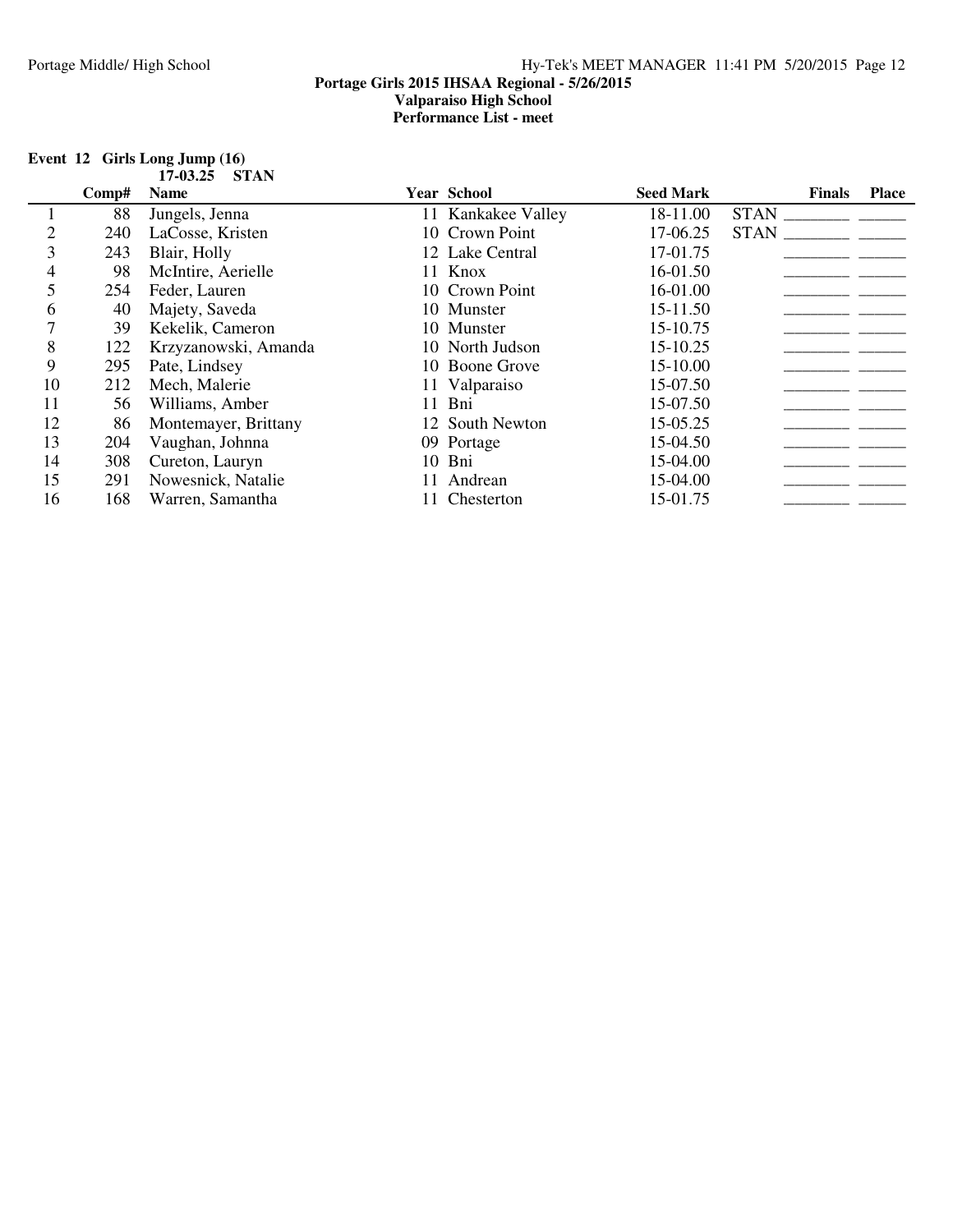|    |       | 17-03.25<br><b>STAN</b> |    |                    |                  |               |              |
|----|-------|-------------------------|----|--------------------|------------------|---------------|--------------|
|    | Comp# | <b>Name</b>             |    | Year School        | <b>Seed Mark</b> | <b>Finals</b> | <b>Place</b> |
|    | 88    | Jungels, Jenna          |    | 11 Kankakee Valley | 18-11.00         | <b>STAN</b>   |              |
| 2  | 240   | LaCosse, Kristen        |    | 10 Crown Point     | 17-06.25         | <b>STAN</b>   |              |
| 3  | 243   | Blair, Holly            |    | 12 Lake Central    | 17-01.75         |               |              |
| 4  | 98    | McIntire, Aerielle      |    | 11 Knox            | 16-01.50         |               |              |
| 5  | 254   | Feder, Lauren           |    | 10 Crown Point     | 16-01.00         |               |              |
| 6  | 40    | Majety, Saveda          |    | 10 Munster         | 15-11.50         |               |              |
|    | 39    | Kekelik, Cameron        |    | 10 Munster         | 15-10.75         |               |              |
| 8  | 122   | Krzyzanowski, Amanda    |    | 10 North Judson    | 15-10.25         |               |              |
| 9  | 295   | Pate, Lindsey           |    | 10 Boone Grove     | 15-10.00         |               |              |
| 10 | 212   | Mech, Malerie           |    | 11 Valparaiso      | 15-07.50         |               |              |
| 11 | 56    | Williams, Amber         |    | 11 Bni             | 15-07.50         |               |              |
| 12 | 86    | Montemayer, Brittany    |    | 12 South Newton    | 15-05.25         |               |              |
| 13 | 204   | Vaughan, Johnna         |    | 09 Portage         | 15-04.50         |               |              |
| 14 | 308   | Cureton, Lauryn         | 10 | Bni                | 15-04.00         |               |              |
| 15 | 291   | Nowesnick, Natalie      | 11 | Andrean            | 15-04.00         |               |              |
| 16 | 168   | Warren, Samantha        |    | Chesterton         | 15-01.75         |               |              |

#### **Event 12 Girls Long Jump (16) 17-03.25 STAN**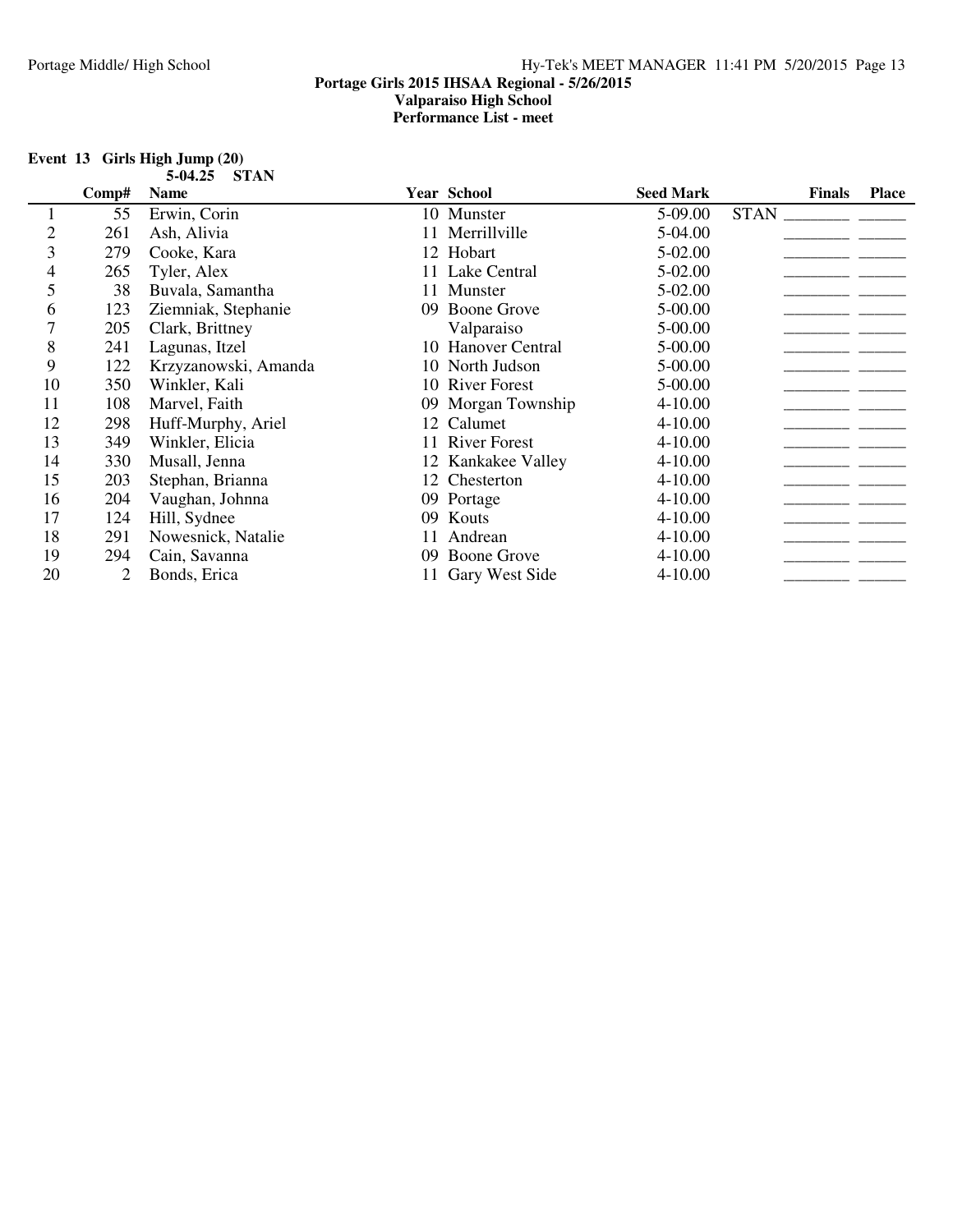| Event $13$ Girls High Jump $(20)$ |              |
|-----------------------------------|--------------|
|                                   | 5-04.25 STAN |

|                | Comp# | <b>Name</b>          |     | <b>Year School</b> | <b>Seed Mark</b> | <b>Finals</b> | <b>Place</b> |
|----------------|-------|----------------------|-----|--------------------|------------------|---------------|--------------|
|                | 55    | Erwin, Corin         |     | 10 Munster         | 5-09.00          | <b>STAN</b>   |              |
| $\overline{2}$ | 261   | Ash, Alivia          |     | Merrillville       | 5-04.00          |               |              |
| 3              | 279   | Cooke, Kara          |     | 12 Hobart          | 5-02.00          |               |              |
| 4              | 265   | Tyler, Alex          |     | 11 Lake Central    | 5-02.00          |               |              |
| 5              | 38    | Buvala, Samantha     |     | 11 Munster         | 5-02.00          |               |              |
| 6              | 123   | Ziemniak, Stephanie  | 09  | <b>Boone Grove</b> | 5-00.00          |               |              |
| 7              | 205   | Clark, Brittney      |     | Valparaiso         | 5-00.00          |               |              |
| 8              | 241   | Lagunas, Itzel       |     | 10 Hanover Central | 5-00.00          |               |              |
| 9              | 122   | Krzyzanowski, Amanda |     | 10 North Judson    | 5-00.00          |               |              |
| 10             | 350   | Winkler, Kali        |     | 10 River Forest    | 5-00.00          |               |              |
| 11             | 108   | Marvel, Faith        |     | 09 Morgan Township | 4-10.00          |               |              |
| 12             | 298   | Huff-Murphy, Ariel   |     | 12 Calumet         | $4 - 10.00$      |               |              |
| 13             | 349   | Winkler, Elicia      |     | 11 River Forest    | $4 - 10.00$      |               |              |
| 14             | 330   | Musall, Jenna        |     | 12 Kankakee Valley | $4 - 10.00$      |               |              |
| 15             | 203   | Stephan, Brianna     |     | 12 Chesterton      | 4-10.00          |               |              |
| 16             | 204   | Vaughan, Johnna      |     | 09 Portage         | $4 - 10.00$      |               |              |
| 17             | 124   | Hill, Sydnee         | 09. | Kouts              | 4-10.00          |               |              |
| 18             | 291   | Nowesnick, Natalie   | 11  | Andrean            | 4-10.00          |               |              |
| 19             | 294   | Cain, Savanna        | 09  | <b>Boone Grove</b> | $4 - 10.00$      |               |              |
| 20             |       | Bonds, Erica         |     | 11 Gary West Side  | 4-10.00          |               |              |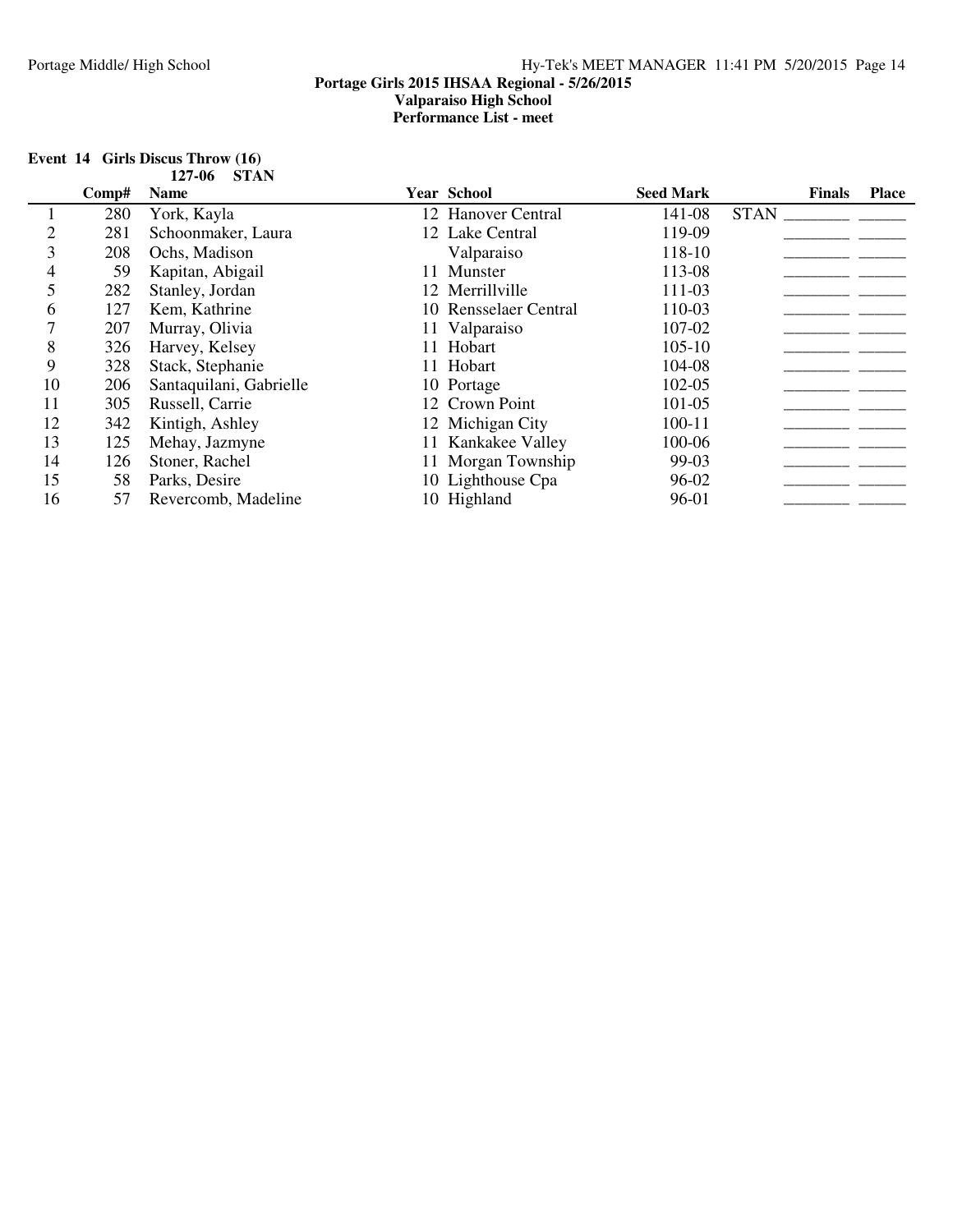#### **Event 14 Girls Discus Throw (16) 127-06 STAN**

|    | Comp# | <b>Name</b>             | Year School           | <b>Seed Mark</b> | <b>Finals</b> | <b>Place</b> |
|----|-------|-------------------------|-----------------------|------------------|---------------|--------------|
|    | 280   | York, Kayla             | 12 Hanover Central    | 141-08           | <b>STAN</b>   |              |
|    | 281   | Schoonmaker, Laura      | 12 Lake Central       | 119-09           |               |              |
|    | 208   | Ochs, Madison           | Valparaiso            | 118-10           |               |              |
| 4  | 59    | Kapitan, Abigail        | 11 Munster            | 113-08           |               |              |
|    | 282   | Stanley, Jordan         | 12 Merrillville       | 111-03           |               |              |
| 6  | 127   | Kem, Kathrine           | 10 Rensselaer Central | 110-03           |               |              |
|    | 207   | Murray, Olivia          | 11 Valparaiso         | 107-02           |               |              |
| 8  | 326   | Harvey, Kelsey          | 11 Hobart             | $105 - 10$       |               |              |
| 9  | 328   | Stack, Stephanie        | 11 Hobart             | 104-08           |               |              |
| 10 | 206   | Santaquilani, Gabrielle | 10 Portage            | 102-05           |               |              |
| 11 | 305   | Russell, Carrie         | 12 Crown Point        | 101-05           |               |              |
| 12 | 342   | Kintigh, Ashley         | 12 Michigan City      | $100 - 11$       |               |              |
| 13 | 125   | Mehay, Jazmyne          | 11 Kankakee Valley    | 100-06           |               |              |
| 14 | 126   | Stoner, Rachel          | 11 Morgan Township    | 99-03            |               |              |
| 15 | 58    | Parks, Desire           | 10 Lighthouse Cpa     | 96-02            |               |              |
| 16 | 57    | Revercomb, Madeline     | 10 Highland           | 96-01            |               |              |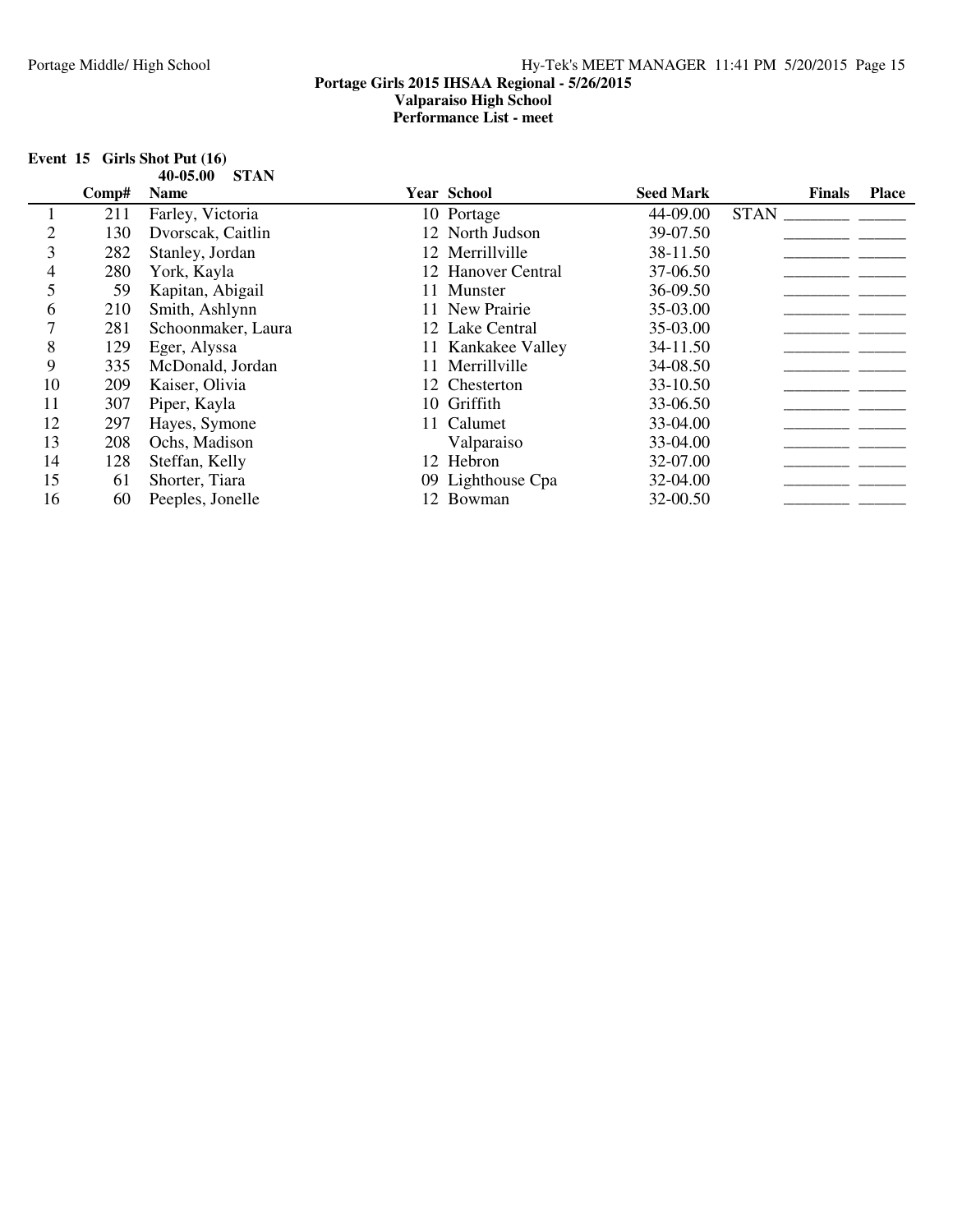| Event $15$ Girls Shot Put $(16)$ |  |
|----------------------------------|--|
| 40-05.00 STAN                    |  |

|    | Comp# | <b>Name</b>        |    | <b>Year School</b> | <b>Seed Mark</b> | <b>Finals</b> | <b>Place</b> |
|----|-------|--------------------|----|--------------------|------------------|---------------|--------------|
|    | 211   | Farley, Victoria   |    | 10 Portage         | 44-09.00         | <b>STAN</b>   |              |
|    | 130   | Dvorscak, Caitlin  |    | 12 North Judson    | 39-07.50         |               |              |
| 3  | 282   | Stanley, Jordan    |    | 12 Merrillville    | 38-11.50         |               |              |
| 4  | 280   | York, Kayla        |    | 12 Hanover Central | 37-06.50         |               |              |
| 5  | 59    | Kapitan, Abigail   | 11 | Munster            | 36-09.50         |               |              |
| 6  | 210   | Smith, Ashlynn     |    | 11 New Prairie     | 35-03.00         |               |              |
|    | 281   | Schoonmaker, Laura |    | 12 Lake Central    | 35-03.00         |               |              |
| 8  | 129   | Eger, Alyssa       |    | 11 Kankakee Valley | 34-11.50         |               |              |
| 9  | 335   | McDonald, Jordan   |    | 11 Merrillville    | 34-08.50         |               |              |
| 10 | 209   | Kaiser, Olivia     |    | 12 Chesterton      | 33-10.50         |               |              |
| 11 | 307   | Piper, Kayla       |    | 10 Griffith        | 33-06.50         |               |              |
| 12 | 297   | Hayes, Symone      |    | 11 Calumet         | 33-04.00         |               |              |
| 13 | 208   | Ochs, Madison      |    | Valparaiso         | 33-04.00         |               |              |
| 14 | 128   | Steffan, Kelly     |    | 12 Hebron          | 32-07.00         |               |              |
| 15 | 61    | Shorter, Tiara     |    | 09 Lighthouse Cpa  | 32-04.00         |               |              |
| 16 | 60    | Peeples, Jonelle   |    | 12 Bowman          | 32-00.50         |               |              |